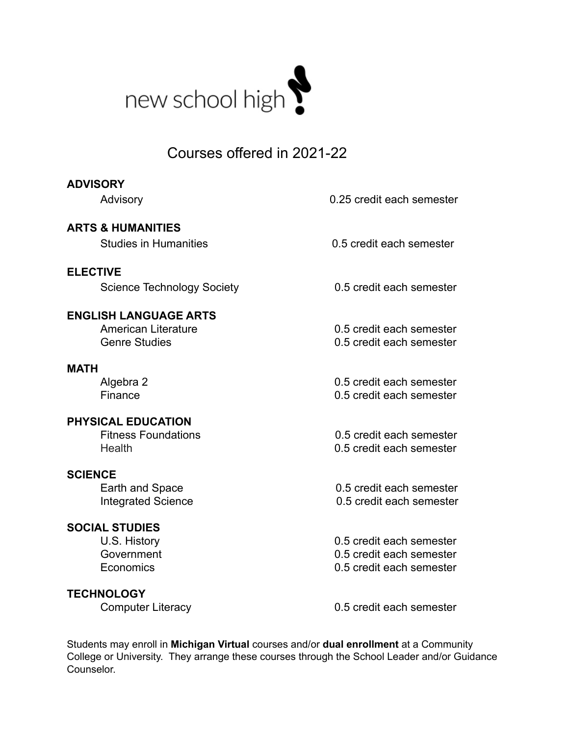

# Courses offered in 2021-22

#### **ADVISORY**

**ELECTIVE**

**ARTS & HUMANITIES**

Advisory **6.25** Credit each semester

Studies in Humanities 0.5 credit each semester

Science Technology Society **6.5** 0.5 credit each semester

### **ENGLISH LANGUAGE ARTS**

#### **MATH**

## **PHYSICAL EDUCATION**

#### **SCIENCE**

#### **SOCIAL STUDIES**

#### **TECHNOLOGY**

American Literature 0.5 credit each semester Genre Studies 0.5 credit each semester

Algebra 2 0.5 credit each semester Finance 0.5 credit each semester

Fitness Foundations 0.5 credit each semester Health 0.5 credit each semester

Earth and Space 0.5 credit each semester Integrated Science 0.5 credit each semester

U.S. History 0.5 credit each semester Government 0.5 credit each semester Economics 0.5 credit each semester

Computer Literacy 0.5 credit each semester

Students may enroll in **Michigan Virtual** courses and/or **dual enrollment** at a Community College or University. They arrange these courses through the School Leader and/or Guidance Counselor.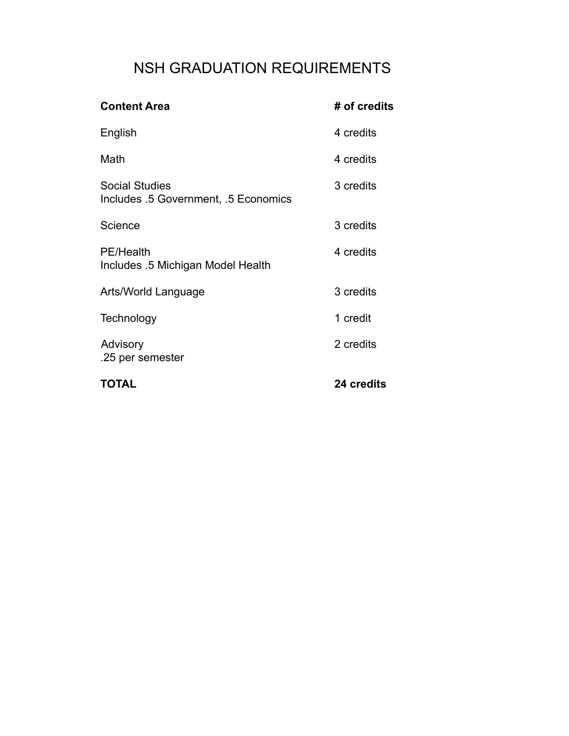# NSH GRADUATION REQUIREMENTS

| <b>Content Area</b>                                           | # of credits |
|---------------------------------------------------------------|--------------|
| English                                                       | 4 credits    |
| Math                                                          | 4 credits    |
| <b>Social Studies</b><br>Includes .5 Government, .5 Economics | 3 credits    |
| Science                                                       | 3 credits    |
| <b>PE/Health</b><br>Includes .5 Michigan Model Health         | 4 credits    |
| Arts/World Language                                           | 3 credits    |
| Technology                                                    | 1 credit     |
| Advisory<br>.25 per semester                                  | 2 credits    |
| <b>TOTAL</b>                                                  | 24 credits   |